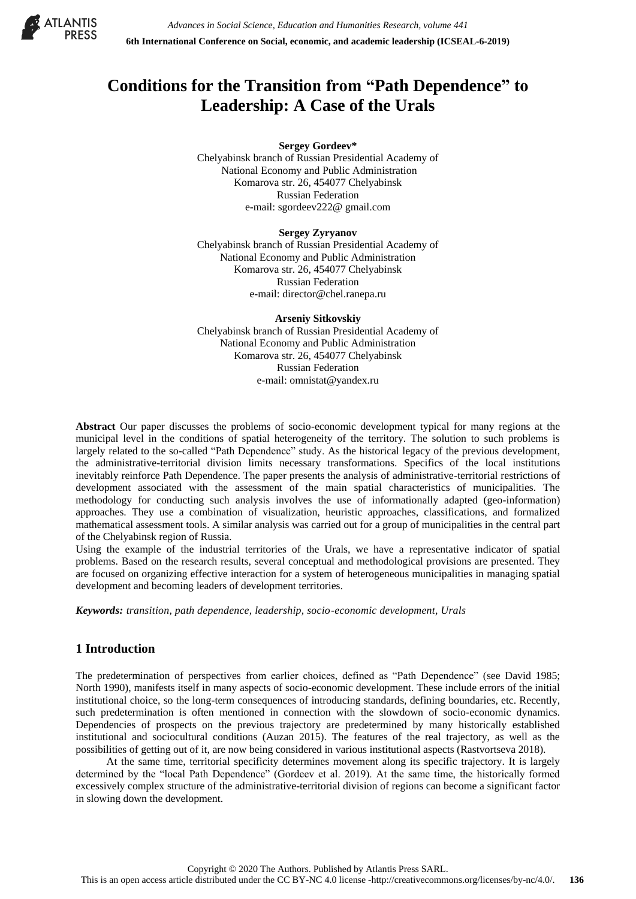

# **Conditions for the Transition from "Path Dependence" to Leadership: A Case of the Urals**

**Sergey Gordeev\***

Chelyabinsk branch of Russian Presidential Academy of National Economy and Public Administration Komarova str. 26, 454077 Chelyabinsk Russian Federation e-mail: sgordeev222@ gmail.com

#### **Sergey Zyryanov**

Chelyabinsk branch of Russian Presidential Academy of National Economy and Public Administration Komarova str. 26, 454077 Chelyabinsk Russian Federation e-mail: director@chel.ranepa.ru

**Arseniy Sitkovskiy** Chelyabinsk branch of Russian Presidential Academy of National Economy and Public Administration Komarova str. 26, 454077 Chelyabinsk Russian Federation e-mail: omnistat@yandex.ru

**Abstract** Our paper discusses the problems of socio-economic development typical for many regions at the municipal level in the conditions of spatial heterogeneity of the territory. The solution to such problems is largely related to the so-called "Path Dependence" study. As the historical legacy of the previous development, the administrative-territorial division limits necessary transformations. Specifics of the local institutions inevitably reinforce Path Dependence. The paper presents the analysis of administrative-territorial restrictions of development associated with the assessment of the main spatial characteristics of municipalities. The methodology for conducting such analysis involves the use of informationally adapted (geo-information) approaches. They use a combination of visualization, heuristic approaches, classifications, and formalized mathematical assessment tools. A similar analysis was carried out for a group of municipalities in the central part of the Chelyabinsk region of Russia.

Using the example of the industrial territories of the Urals, we have a representative indicator of spatial problems. Based on the research results, several conceptual and methodological provisions are presented. They are focused on organizing effective interaction for a system of heterogeneous municipalities in managing spatial development and becoming leaders of development territories.

*Keywords: transition, path dependence, leadership, socio-economic development, Urals*

# **1 Introduction**

The predetermination of perspectives from earlier choices, defined as "Path Dependence" (see David 1985; North 1990), manifests itself in many aspects of socio-economic development. These include errors of the initial institutional choice, so the long-term consequences of introducing standards, defining boundaries, etc. Recently, such predetermination is often mentioned in connection with the slowdown of socio-economic dynamics. Dependencies of prospects on the previous trajectory are predetermined by many historically established institutional and sociocultural conditions (Auzan 2015). The features of the real trajectory, as well as the possibilities of getting out of it, are now being considered in various institutional aspects (Rastvortseva 2018).

At the same time, territorial specificity determines movement along its specific trajectory. It is largely determined by the "local Path Dependence" (Gordeev et al. 2019). At the same time, the historically formed excessively complex structure of the administrative-territorial division of regions can become a significant factor in slowing down the development.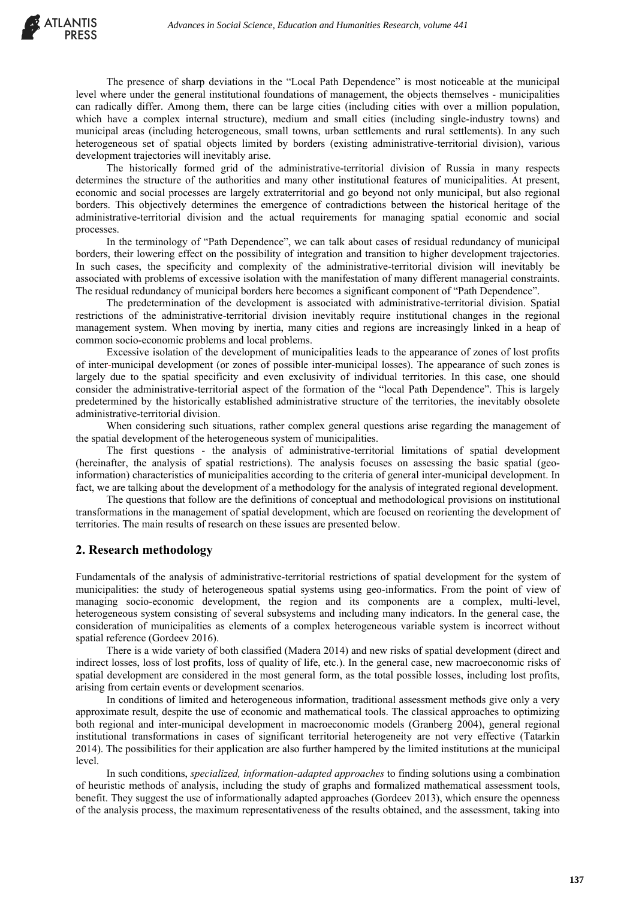The presence of sharp deviations in the "Local Path Dependence" is most noticeable at the municipal level where under the general institutional foundations of management, the objects themselves - municipalities can radically differ. Among them, there can be large cities (including cities with over a million population, which have a complex internal structure), medium and small cities (including single-industry towns) and municipal areas (including heterogeneous, small towns, urban settlements and rural settlements). In any such heterogeneous set of spatial objects limited by borders (existing administrative-territorial division), various development trajectories will inevitably arise.

The historically formed grid of the administrative-territorial division of Russia in many respects determines the structure of the authorities and many other institutional features of municipalities. At present, economic and social processes are largely extraterritorial and go beyond not only municipal, but also regional borders. This objectively determines the emergence of contradictions between the historical heritage of the administrative-territorial division and the actual requirements for managing spatial economic and social processes.

In the terminology of "Path Dependence", we can talk about cases of residual redundancy of municipal borders, their lowering effect on the possibility of integration and transition to higher development trajectories. In such cases, the specificity and complexity of the administrative-territorial division will inevitably be associated with problems of excessive isolation with the manifestation of many different managerial constraints. The residual redundancy of municipal borders here becomes a significant component of "Path Dependence".

The predetermination of the development is associated with administrative-territorial division. Spatial restrictions of the administrative-territorial division inevitably require institutional changes in the regional management system. When moving by inertia, many cities and regions are increasingly linked in a heap of common socio-economic problems and local problems.

Excessive isolation of the development of municipalities leads to the appearance of zones of lost profits of inter-municipal development (or zones of possible inter-municipal losses). The appearance of such zones is largely due to the spatial specificity and even exclusivity of individual territories. In this case, one should consider the administrative-territorial aspect of the formation of the "local Path Dependence". This is largely predetermined by the historically established administrative structure of the territories, the inevitably obsolete administrative-territorial division.

When considering such situations, rather complex general questions arise regarding the management of the spatial development of the heterogeneous system of municipalities.

The first questions - the analysis of administrative-territorial limitations of spatial development (hereinafter, the analysis of spatial restrictions). The analysis focuses on assessing the basic spatial (geoinformation) characteristics of municipalities according to the criteria of general inter-municipal development. In fact, we are talking about the development of a methodology for the analysis of integrated regional development.

The questions that follow are the definitions of conceptual and methodological provisions on institutional transformations in the management of spatial development, which are focused on reorienting the development of territories. The main results of research on these issues are presented below.

## **2. Research methodology**

Fundamentals of the analysis of administrative-territorial restrictions of spatial development for the system of municipalities: the study of heterogeneous spatial systems using geo-informatics. From the point of view of managing socio-economic development, the region and its components are a complex, multi-level, heterogeneous system consisting of several subsystems and including many indicators. In the general case, the consideration of municipalities as elements of a complex heterogeneous variable system is incorrect without spatial reference (Gordeev 2016).

There is a wide variety of both classified (Madera 2014) and new risks of spatial development (direct and indirect losses, loss of lost profits, loss of quality of life, etc.). In the general case, new macroeconomic risks of spatial development are considered in the most general form, as the total possible losses, including lost profits, arising from certain events or development scenarios.

In conditions of limited and heterogeneous information, traditional assessment methods give only a very approximate result, despite the use of economic and mathematical tools. The classical approaches to optimizing both regional and inter-municipal development in macroeconomic models (Granberg 2004), general regional institutional transformations in cases of significant territorial heterogeneity are not very effective (Tatarkin 2014). The possibilities for their application are also further hampered by the limited institutions at the municipal level.

In such conditions, *specialized, information-adapted approaches* to finding solutions using a combination of heuristic methods of analysis, including the study of graphs and formalized mathematical assessment tools, benefit. They suggest the use of informationally adapted approaches (Gordeev 2013), which ensure the openness of the analysis process, the maximum representativeness of the results obtained, and the assessment, taking into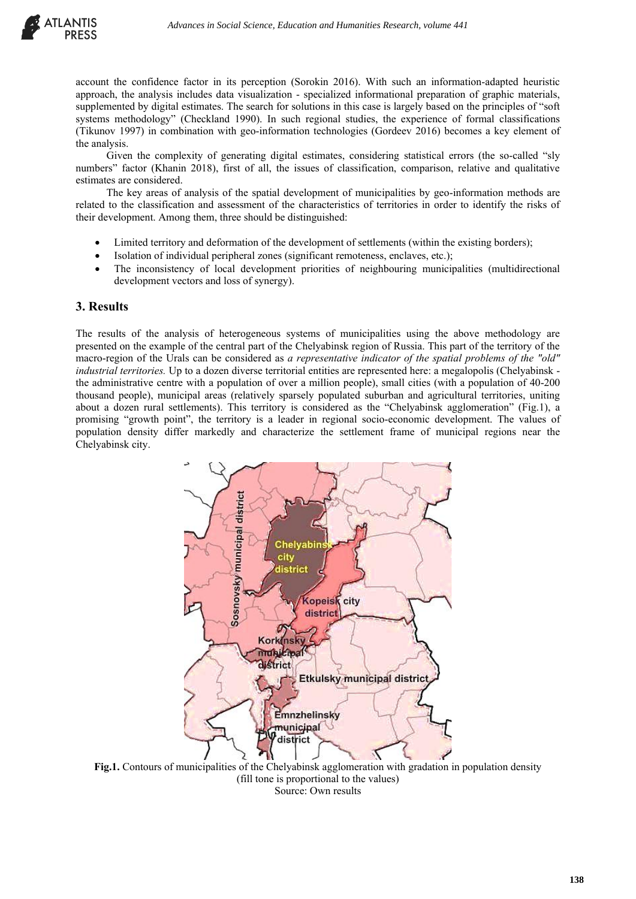

account the confidence factor in its perception (Sorokin 2016). With such an information-adapted heuristic approach, the analysis includes data visualization - specialized informational preparation of graphic materials, supplemented by digital estimates. The search for solutions in this case is largely based on the principles of "soft systems methodology" (Checkland 1990). In such regional studies, the experience of formal classifications (Tikunov 1997) in combination with geo-information technologies (Gordeev 2016) becomes a key element of the analysis.

Given the complexity of generating digital estimates, considering statistical errors (the so-called "sly numbers" factor (Khanin 2018), first of all, the issues of classification, comparison, relative and qualitative estimates are considered.

The key areas of analysis of the spatial development of municipalities by geo-information methods are related to the classification and assessment of the characteristics of territories in order to identify the risks of their development. Among them, three should be distinguished:

- Limited territory and deformation of the development of settlements (within the existing borders);
- Isolation of individual peripheral zones (significant remoteness, enclaves, etc.);
- The inconsistency of local development priorities of neighbouring municipalities (multidirectional development vectors and loss of synergy).

## **3. Results**

The results of the analysis of heterogeneous systems of municipalities using the above methodology are presented on the example of the central part of the Chelyabinsk region of Russia. This part of the territory of the macro-region of the Urals can be considered as *a representative indicator of the spatial problems of the "old" industrial territories.* Up to a dozen diverse territorial entities are represented here: a megalopolis (Chelyabinsk the administrative centre with a population of over a million people), small cities (with a population of 40-200 thousand people), municipal areas (relatively sparsely populated suburban and agricultural territories, uniting about a dozen rural settlements). This territory is considered as the "Chelyabinsk agglomeration" (Fig.1), a promising "growth point", the territory is a leader in regional socio-economic development. The values of population density differ markedly and characterize the settlement frame of municipal regions near the Chelyabinsk city.



**Fig.1.** Contours of municipalities of the Chelyabinsk agglomeration with gradation in population density (fill tone is proportional to the values) Source: Own results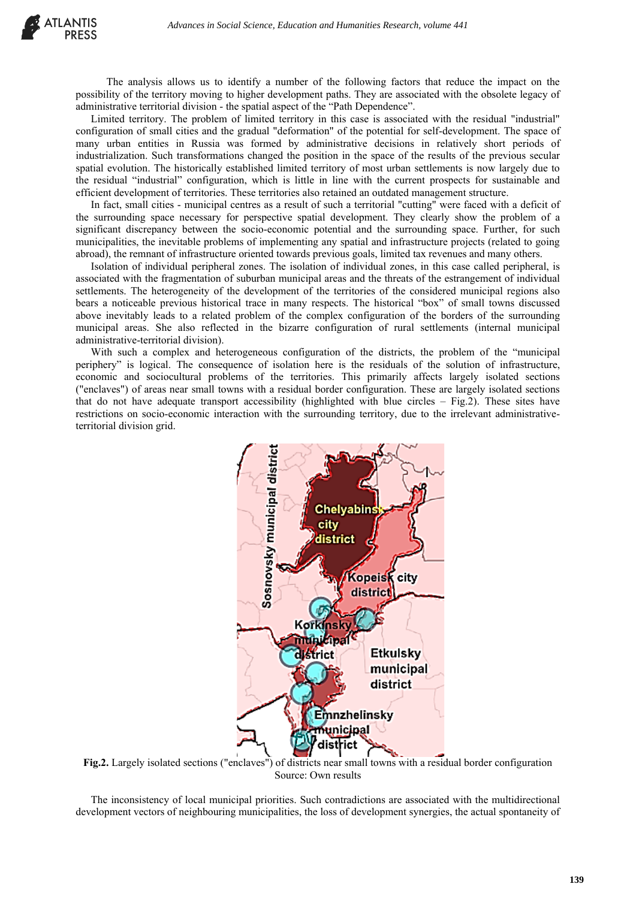The analysis allows us to identify a number of the following factors that reduce the impact on the possibility of the territory moving to higher development paths. They are associated with the obsolete legacy of administrative territorial division - the spatial aspect of the "Path Dependence".

Limited territory. The problem of limited territory in this case is associated with the residual "industrial" configuration of small cities and the gradual "deformation" of the potential for self-development. The space of many urban entities in Russia was formed by administrative decisions in relatively short periods of industrialization. Such transformations changed the position in the space of the results of the previous secular spatial evolution. The historically established limited territory of most urban settlements is now largely due to the residual "industrial" configuration, which is little in line with the current prospects for sustainable and efficient development of territories. These territories also retained an outdated management structure.

In fact, small cities - municipal centres as a result of such a territorial "cutting" were faced with a deficit of the surrounding space necessary for perspective spatial development. They clearly show the problem of a significant discrepancy between the socio-economic potential and the surrounding space. Further, for such municipalities, the inevitable problems of implementing any spatial and infrastructure projects (related to going abroad), the remnant of infrastructure oriented towards previous goals, limited tax revenues and many others.

Isolation of individual peripheral zones. The isolation of individual zones, in this case called peripheral, is associated with the fragmentation of suburban municipal areas and the threats of the estrangement of individual settlements. The heterogeneity of the development of the territories of the considered municipal regions also bears a noticeable previous historical trace in many respects. The historical "box" of small towns discussed above inevitably leads to a related problem of the complex configuration of the borders of the surrounding municipal areas. She also reflected in the bizarre configuration of rural settlements (internal municipal administrative-territorial division).

With such a complex and heterogeneous configuration of the districts, the problem of the "municipal periphery" is logical. The consequence of isolation here is the residuals of the solution of infrastructure, economic and sociocultural problems of the territories. This primarily affects largely isolated sections ("enclaves") of areas near small towns with a residual border configuration. These are largely isolated sections that do not have adequate transport accessibility (highlighted with blue circles – Fig.2). These sites have restrictions on socio-economic interaction with the surrounding territory, due to the irrelevant administrativeterritorial division grid.



**Fig.2.** Largely isolated sections ("enclaves") of districts near small towns with a residual border configuration Source: Own results

The inconsistency of local municipal priorities. Such contradictions are associated with the multidirectional development vectors of neighbouring municipalities, the loss of development synergies, the actual spontaneity of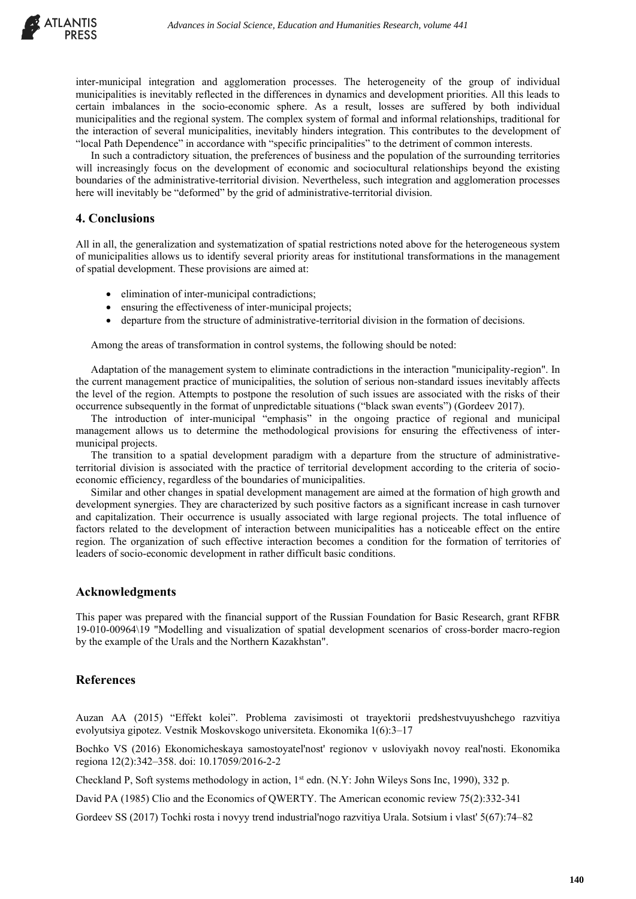

inter-municipal integration and agglomeration processes. The heterogeneity of the group of individual municipalities is inevitably reflected in the differences in dynamics and development priorities. All this leads to certain imbalances in the socio-economic sphere. As a result, losses are suffered by both individual municipalities and the regional system. The complex system of formal and informal relationships, traditional for the interaction of several municipalities, inevitably hinders integration. This contributes to the development of "local Path Dependence" in accordance with "specific principalities" to the detriment of common interests.

In such a contradictory situation, the preferences of business and the population of the surrounding territories will increasingly focus on the development of economic and sociocultural relationships beyond the existing boundaries of the administrative-territorial division. Nevertheless, such integration and agglomeration processes here will inevitably be "deformed" by the grid of administrative-territorial division.

### **4. Conclusions**

All in all, the generalization and systematization of spatial restrictions noted above for the heterogeneous system of municipalities allows us to identify several priority areas for institutional transformations in the management of spatial development. These provisions are aimed at:

- elimination of inter-municipal contradictions;
- ensuring the effectiveness of inter-municipal projects;
- departure from the structure of administrative-territorial division in the formation of decisions.

Among the areas of transformation in control systems, the following should be noted:

Adaptation of the management system to eliminate contradictions in the interaction "municipality-region". In the current management practice of municipalities, the solution of serious non-standard issues inevitably affects the level of the region. Attempts to postpone the resolution of such issues are associated with the risks of their occurrence subsequently in the format of unpredictable situations ("black swan events") (Gordeev 2017).

The introduction of inter-municipal "emphasis" in the ongoing practice of regional and municipal management allows us to determine the methodological provisions for ensuring the effectiveness of intermunicipal projects.

The transition to a spatial development paradigm with a departure from the structure of administrativeterritorial division is associated with the practice of territorial development according to the criteria of socioeconomic efficiency, regardless of the boundaries of municipalities.

Similar and other changes in spatial development management are aimed at the formation of high growth and development synergies. They are characterized by such positive factors as a significant increase in cash turnover and capitalization. Their occurrence is usually associated with large regional projects. The total influence of factors related to the development of interaction between municipalities has a noticeable effect on the entire region. The organization of such effective interaction becomes a condition for the formation of territories of leaders of socio-economic development in rather difficult basic conditions.

#### **Acknowledgments**

This paper was prepared with the financial support of the Russian Foundation for Basic Research, grant RFBR 19-010-00964\19 "Modelling and visualization of spatial development scenarios of cross-border macro-region by the example of the Urals and the Northern Kazakhstan".

### **References**

Auzan AA (2015) "Effekt kolei". Problema zavisimosti ot trayektorii predshestvuyushchego razvitiya evolyutsiya gipotez. Vestnik Moskovskogo universiteta. Ekonomika 1(6):3–17

Bochko VS (2016) Ekonomicheskaya samostoyatel'nost' regionov v usloviyakh novoy real'nosti. Ekonomika regiona 12(2):342–358. doi: [10.17059/2016-2-2](https://doi.org/10.17059/2016-2-2)

Checkland P, Soft systems methodology in action, 1<sup>st</sup> edn. (N.Y: John Wileys Sons Inc, 1990), 332 p.

David PA (1985) Clio and the Economics of QWERTY. The American economic review 75(2):332-341

Gordeev SS (2017) Tochki rosta i novyy trend industrial'nogo razvitiya Urala. Sotsium i vlast' 5(67):74–82